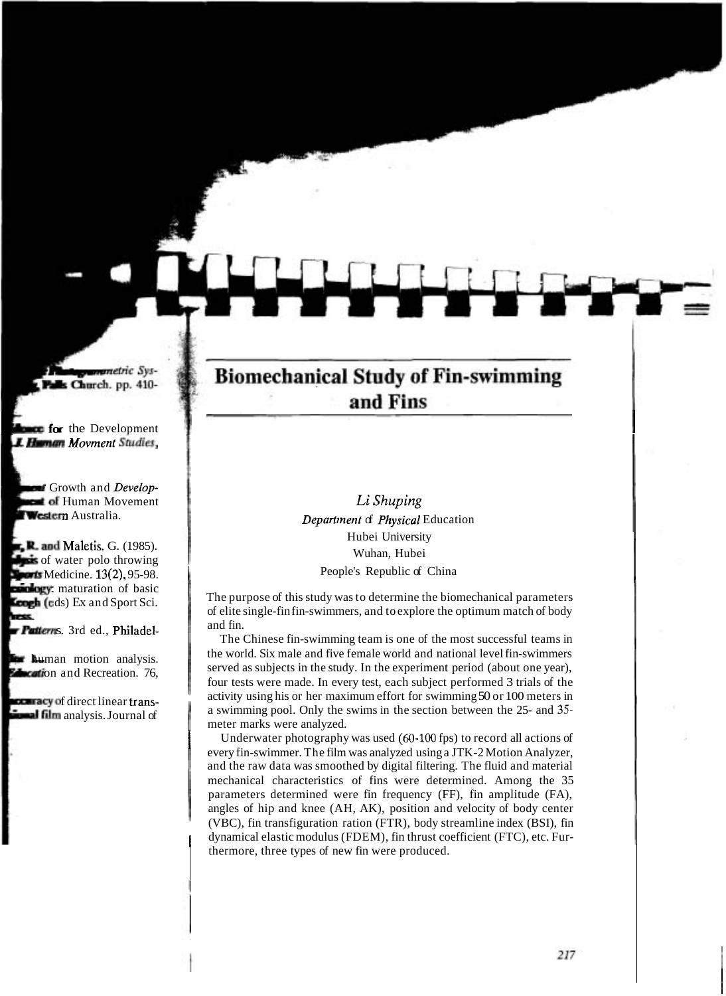## **Biomechanical Study of Fin-swimming** and Fins

**fm** the Development I

Li Shuping **Department of Physical Education** Hubei University Wuhan, Hubei People's Republic of China

The purpose of this study was to determine the biomechanical parameters of elite single-fin fin-swimmers, and to explore the optimum match of body and fin.

The Chinese fin-swimming team is one of the most successful teams in the world. Six male and five female world and national level fin-swimmers served as subjects in the study. In the experiment period (about one year), four tests were made. In every test, each subject performed 3 trials of the activity using his or her maximum effort for swimming 50 or 100 meters in a swimming pool. Only the swims in the section between the 25- and 35meter marks were analyzed.

I Underwater photography was used **(60-100** fps) to record all actions of every fin-swimmer. The film was analyzed using a JTK-2 Motion Analyzer, and the raw data was smoothed by digital filtering. The fluid and material mechanical characteristics of fins were determined. Among the 35 parameters determined were fin frequency (FF), fin amplitude (FA), angles of hip and knee (AH, AK), position and velocity of body center (VBC), fin transfiguration ration (FTR), body streamline index (BSI), fin [ dynamical elastic modulus (FDEM), fin thrust coefficient (FTC), etc. Furthermore, three types of new fin were produced.